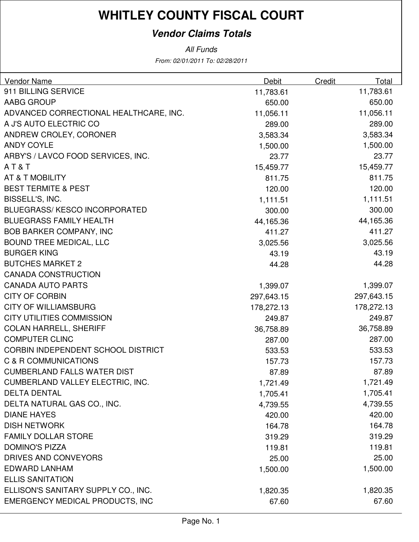### **Vendor Claims Totals**

All Funds

From: 02/01/2011 To: 02/28/2011

| <b>Vendor Name</b>                     | <b>Debit</b> | Credit | Total      |
|----------------------------------------|--------------|--------|------------|
| 911 BILLING SERVICE                    | 11,783.61    |        | 11,783.61  |
| AABG GROUP                             | 650.00       |        | 650.00     |
| ADVANCED CORRECTIONAL HEALTHCARE, INC. | 11,056.11    |        | 11,056.11  |
| A J'S AUTO ELECTRIC CO                 | 289.00       |        | 289.00     |
| ANDREW CROLEY, CORONER                 | 3,583.34     |        | 3,583.34   |
| <b>ANDY COYLE</b>                      | 1,500.00     |        | 1,500.00   |
| ARBY'S / LAVCO FOOD SERVICES, INC.     | 23.77        |        | 23.77      |
| AT&T                                   | 15,459.77    |        | 15,459.77  |
| AT & T MOBILITY                        | 811.75       |        | 811.75     |
| <b>BEST TERMITE &amp; PEST</b>         | 120.00       |        | 120.00     |
| BISSELL'S, INC.                        | 1,111.51     |        | 1,111.51   |
| <b>BLUEGRASS/ KESCO INCORPORATED</b>   | 300.00       |        | 300.00     |
| <b>BLUEGRASS FAMILY HEALTH</b>         | 44,165.36    |        | 44,165.36  |
| <b>BOB BARKER COMPANY, INC</b>         | 411.27       |        | 411.27     |
| <b>BOUND TREE MEDICAL, LLC</b>         | 3,025.56     |        | 3,025.56   |
| <b>BURGER KING</b>                     | 43.19        |        | 43.19      |
| <b>BUTCHES MARKET 2</b>                | 44.28        |        | 44.28      |
| <b>CANADA CONSTRUCTION</b>             |              |        |            |
| <b>CANADA AUTO PARTS</b>               | 1,399.07     |        | 1,399.07   |
| <b>CITY OF CORBIN</b>                  | 297,643.15   |        | 297,643.15 |
| <b>CITY OF WILLIAMSBURG</b>            | 178,272.13   |        | 178,272.13 |
| <b>CITY UTILITIES COMMISSION</b>       | 249.87       |        | 249.87     |
| <b>COLAN HARRELL, SHERIFF</b>          | 36,758.89    |        | 36,758.89  |
| <b>COMPUTER CLINC</b>                  | 287.00       |        | 287.00     |
| CORBIN INDEPENDENT SCHOOL DISTRICT     | 533.53       |        | 533.53     |
| C & R COMMUNICATIONS                   | 157.73       |        | 157.73     |
| <b>CUMBERLAND FALLS WATER DIST</b>     | 87.89        |        | 87.89      |
| CUMBERLAND VALLEY ELECTRIC, INC.       | 1,721.49     |        | 1,721.49   |
| <b>DELTA DENTAL</b>                    | 1,705.41     |        | 1,705.41   |
| DELTA NATURAL GAS CO., INC.            | 4,739.55     |        | 4,739.55   |
| <b>DIANE HAYES</b>                     | 420.00       |        | 420.00     |
| <b>DISH NETWORK</b>                    | 164.78       |        | 164.78     |
| <b>FAMILY DOLLAR STORE</b>             | 319.29       |        | 319.29     |
| <b>DOMINO'S PIZZA</b>                  | 119.81       |        | 119.81     |
| DRIVES AND CONVEYORS                   | 25.00        |        | 25.00      |
| <b>EDWARD LANHAM</b>                   | 1,500.00     |        | 1,500.00   |
| <b>ELLIS SANITATION</b>                |              |        |            |
| ELLISON'S SANITARY SUPPLY CO., INC.    | 1,820.35     |        | 1,820.35   |
| <b>EMERGENCY MEDICAL PRODUCTS, INC</b> | 67.60        |        | 67.60      |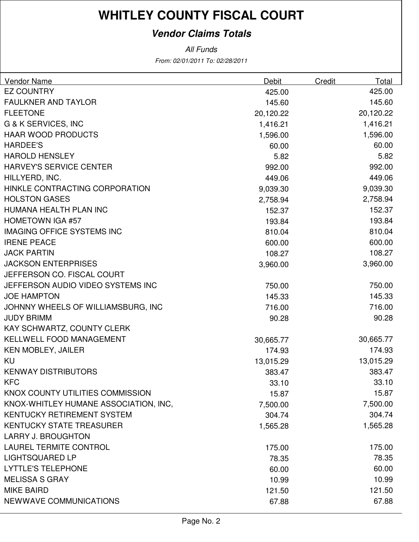### **Vendor Claims Totals**

From: 02/01/2011 To: 02/28/2011 All Funds

| Vendor Name                           | Debit     | Credit | Total     |
|---------------------------------------|-----------|--------|-----------|
| <b>EZ COUNTRY</b>                     | 425.00    |        | 425.00    |
| <b>FAULKNER AND TAYLOR</b>            | 145.60    |        | 145.60    |
| <b>FLEETONE</b>                       | 20,120.22 |        | 20,120.22 |
| <b>G &amp; K SERVICES, INC</b>        | 1,416.21  |        | 1,416.21  |
| <b>HAAR WOOD PRODUCTS</b>             | 1,596.00  |        | 1,596.00  |
| <b>HARDEE'S</b>                       | 60.00     |        | 60.00     |
| <b>HAROLD HENSLEY</b>                 | 5.82      |        | 5.82      |
| <b>HARVEY'S SERVICE CENTER</b>        | 992.00    |        | 992.00    |
| HILLYERD, INC.                        | 449.06    |        | 449.06    |
| HINKLE CONTRACTING CORPORATION        | 9,039.30  |        | 9,039.30  |
| <b>HOLSTON GASES</b>                  | 2,758.94  |        | 2,758.94  |
| HUMANA HEALTH PLAN INC                | 152.37    |        | 152.37    |
| <b>HOMETOWN IGA #57</b>               | 193.84    |        | 193.84    |
| <b>IMAGING OFFICE SYSTEMS INC</b>     | 810.04    |        | 810.04    |
| <b>IRENE PEACE</b>                    | 600.00    |        | 600.00    |
| <b>JACK PARTIN</b>                    | 108.27    |        | 108.27    |
| <b>JACKSON ENTERPRISES</b>            | 3,960.00  |        | 3,960.00  |
| JEFFERSON CO. FISCAL COURT            |           |        |           |
| JEFFERSON AUDIO VIDEO SYSTEMS INC     | 750.00    |        | 750.00    |
| <b>JOE HAMPTON</b>                    | 145.33    |        | 145.33    |
| JOHNNY WHEELS OF WILLIAMSBURG, INC    | 716.00    |        | 716.00    |
| <b>JUDY BRIMM</b>                     | 90.28     |        | 90.28     |
| KAY SCHWARTZ, COUNTY CLERK            |           |        |           |
| <b>KELLWELL FOOD MANAGEMENT</b>       | 30,665.77 |        | 30,665.77 |
| <b>KEN MOBLEY, JAILER</b>             | 174.93    |        | 174.93    |
| <b>KU</b>                             | 13,015.29 |        | 13,015.29 |
| <b>KENWAY DISTRIBUTORS</b>            | 383.47    |        | 383.47    |
| KFC                                   | 33.10     |        | 33.10     |
| KNOX COUNTY UTILITIES COMMISSION      | 15.87     |        | 15.87     |
| KNOX-WHITLEY HUMANE ASSOCIATION, INC, | 7,500.00  |        | 7,500.00  |
| <b>KENTUCKY RETIREMENT SYSTEM</b>     | 304.74    |        | 304.74    |
| <b>KENTUCKY STATE TREASURER</b>       | 1,565.28  |        | 1,565.28  |
| <b>LARRY J. BROUGHTON</b>             |           |        |           |
| <b>LAUREL TERMITE CONTROL</b>         | 175.00    |        | 175.00    |
| <b>LIGHTSQUARED LP</b>                | 78.35     |        | 78.35     |
| <b>LYTTLE'S TELEPHONE</b>             | 60.00     |        | 60.00     |
| <b>MELISSA S GRAY</b>                 | 10.99     |        | 10.99     |
| <b>MIKE BAIRD</b>                     | 121.50    |        | 121.50    |
| NEWWAVE COMMUNICATIONS                | 67.88     |        | 67.88     |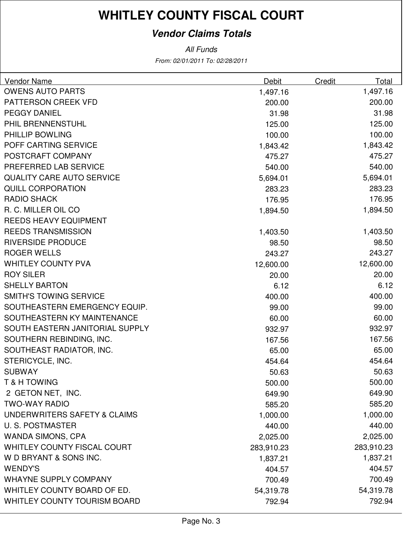### **Vendor Claims Totals**

From: 02/01/2011 To: 02/28/2011 All Funds

| Vendor Name                         | <b>Debit</b> | Credit | Total      |
|-------------------------------------|--------------|--------|------------|
| <b>OWENS AUTO PARTS</b>             | 1,497.16     |        | 1,497.16   |
| PATTERSON CREEK VFD                 | 200.00       |        | 200.00     |
| <b>PEGGY DANIEL</b>                 | 31.98        |        | 31.98      |
| PHIL BRENNENSTUHL                   | 125.00       |        | 125.00     |
| PHILLIP BOWLING                     | 100.00       |        | 100.00     |
| POFF CARTING SERVICE                | 1,843.42     |        | 1,843.42   |
| POSTCRAFT COMPANY                   | 475.27       |        | 475.27     |
| PREFERRED LAB SERVICE               | 540.00       |        | 540.00     |
| <b>QUALITY CARE AUTO SERVICE</b>    | 5,694.01     |        | 5,694.01   |
| <b>QUILL CORPORATION</b>            | 283.23       |        | 283.23     |
| <b>RADIO SHACK</b>                  | 176.95       |        | 176.95     |
| R. C. MILLER OIL CO                 | 1,894.50     |        | 1,894.50   |
| <b>REEDS HEAVY EQUIPMENT</b>        |              |        |            |
| <b>REEDS TRANSMISSION</b>           | 1,403.50     |        | 1,403.50   |
| <b>RIVERSIDE PRODUCE</b>            | 98.50        |        | 98.50      |
| <b>ROGER WELLS</b>                  | 243.27       |        | 243.27     |
| <b>WHITLEY COUNTY PVA</b>           | 12,600.00    |        | 12,600.00  |
| <b>ROY SILER</b>                    | 20.00        |        | 20.00      |
| <b>SHELLY BARTON</b>                | 6.12         |        | 6.12       |
| <b>SMITH'S TOWING SERVICE</b>       | 400.00       |        | 400.00     |
| SOUTHEASTERN EMERGENCY EQUIP.       | 99.00        |        | 99.00      |
| SOUTHEASTERN KY MAINTENANCE         | 60.00        |        | 60.00      |
| SOUTH EASTERN JANITORIAL SUPPLY     | 932.97       |        | 932.97     |
| SOUTHERN REBINDING, INC.            | 167.56       |        | 167.56     |
| SOUTHEAST RADIATOR, INC.            | 65.00        |        | 65.00      |
| STERICYCLE, INC.                    | 454.64       |        | 454.64     |
| <b>SUBWAY</b>                       | 50.63        |        | 50.63      |
| <b>T &amp; H TOWING</b>             | 500.00       |        | 500.00     |
| 2 GETON NET, INC.                   | 649.90       |        | 649.90     |
| <b>TWO-WAY RADIO</b>                | 585.20       |        | 585.20     |
| UNDERWRITERS SAFETY & CLAIMS        | 1,000.00     |        | 1,000.00   |
| <b>U.S. POSTMASTER</b>              | 440.00       |        | 440.00     |
| <b>WANDA SIMONS, CPA</b>            | 2,025.00     |        | 2,025.00   |
| WHITLEY COUNTY FISCAL COURT         | 283,910.23   |        | 283,910.23 |
| W D BRYANT & SONS INC.              | 1,837.21     |        | 1,837.21   |
| <b>WENDY'S</b>                      | 404.57       |        | 404.57     |
| <b>WHAYNE SUPPLY COMPANY</b>        | 700.49       |        | 700.49     |
| WHITLEY COUNTY BOARD OF ED.         | 54,319.78    |        | 54,319.78  |
| <b>WHITLEY COUNTY TOURISM BOARD</b> | 792.94       |        | 792.94     |